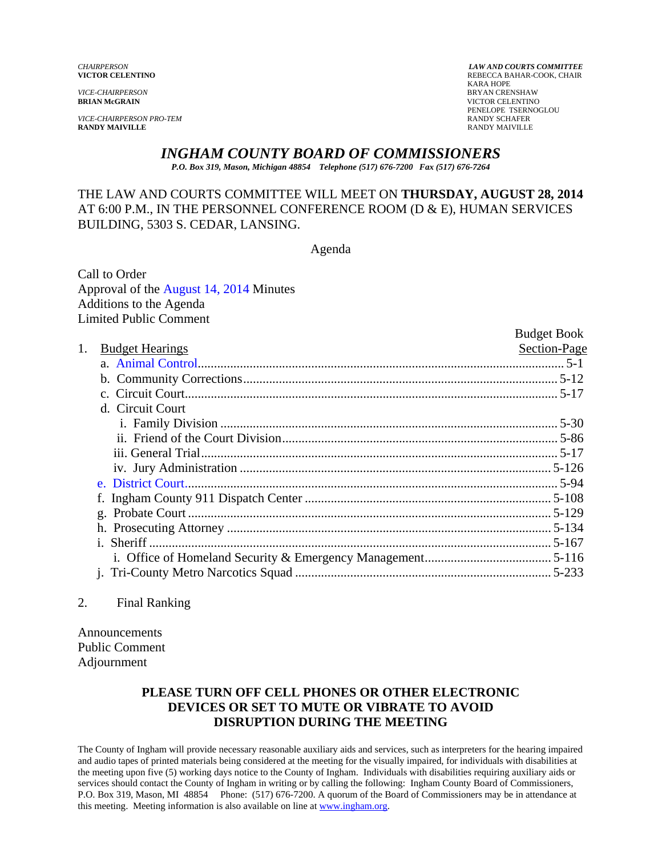*VICE-CHAIRPERSON* BRYAN CRENSHAW

*VICE-CHAIRPERSON PRO-TEM* RANDY SCHAFER

*CHAIRPERSON LAW AND COURTS COMMITTEE* **VICTOR CELENTINO** REBECCA BAHAR-COOK, CHAIR KARA HOPE **VICTOR CELENTINO**  PENELOPE TSERNOGLOU **RANDY MAIVILLE** RANDY MAIVILLE

# *INGHAM COUNTY BOARD OF COMMISSIONERS*

*P.O. Box 319, Mason, Michigan 48854 Telephone (517) 676-7200 Fax (517) 676-7264*

## THE LAW AND COURTS COMMITTEE WILL MEET ON **THURSDAY, AUGUST 28, 2014**  AT 6:00 P.M., IN THE PERSONNEL CONFERENCE ROOM (D & E), HUMAN SERVICES BUILDING, 5303 S. CEDAR, LANSING.

Agenda

Call to Order Approval [of the August 14, 2014 Minutes](#page-1-0)  Additions to the Agenda Limited Public Comment

|    |                        | <b>Budget Book</b> |
|----|------------------------|--------------------|
| 1. | <b>Budget Hearings</b> | Section-Page       |
|    |                        |                    |
|    |                        |                    |
|    |                        |                    |
|    | d. Circuit Court       |                    |
|    |                        |                    |
|    |                        |                    |
|    |                        |                    |
|    |                        |                    |
|    |                        |                    |
|    |                        |                    |
|    |                        |                    |
|    |                        |                    |
|    |                        |                    |
|    |                        |                    |
|    |                        |                    |
|    |                        |                    |

#### 2. Final Ranking

Announcements Public Comment Adjournment

# **PLEASE TURN OFF CELL PHONES OR OTHER ELECTRONIC DEVICES OR SET TO MUTE OR VIBRATE TO AVOID DISRUPTION DURING THE MEETING**

The County of Ingham will provide necessary reasonable auxiliary aids and services, such as interpreters for the hearing impaired and audio tapes of printed materials being considered at the meeting for the visually impaired, for individuals with disabilities at the meeting upon five (5) working days notice to the County of Ingham. Individuals with disabilities requiring auxiliary aids or services should contact the County of Ingham in writing or by calling the following: Ingham County Board of Commissioners, P.O. Box 319, Mason, MI 48854 Phone: (517) 676-7200. A quorum of the Board of Commissioners may be in attendance at this meeting. Meeting information is also available on line at www.ingham.org.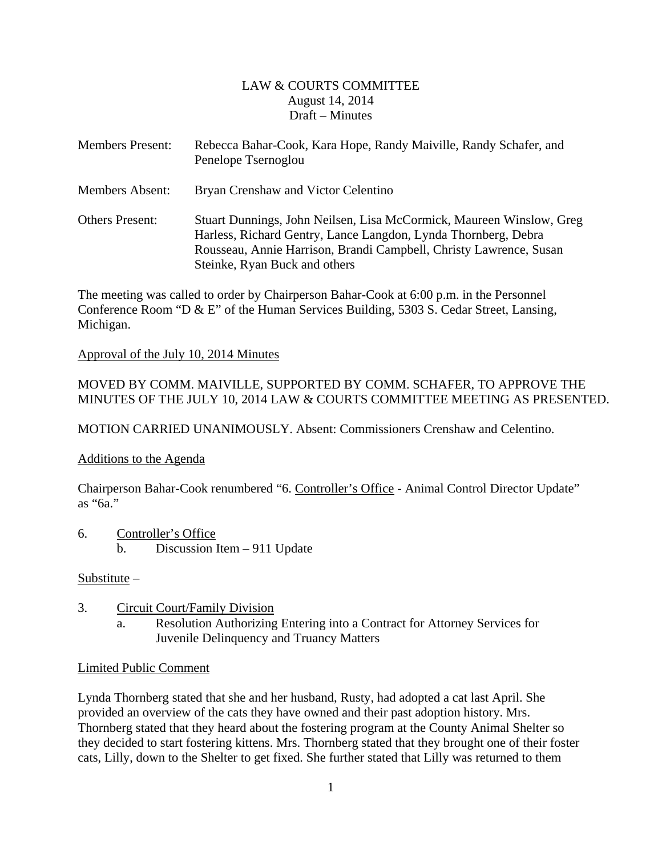## LAW & COURTS COMMITTEE August 14, 2014 Draft – Minutes

<span id="page-1-0"></span>

| <b>Members Present:</b> | Rebecca Bahar-Cook, Kara Hope, Randy Maiville, Randy Schafer, and<br>Penelope Tsernoglou                                                                                                                                                      |
|-------------------------|-----------------------------------------------------------------------------------------------------------------------------------------------------------------------------------------------------------------------------------------------|
| <b>Members Absent:</b>  | Bryan Crenshaw and Victor Celentino                                                                                                                                                                                                           |
| <b>Others Present:</b>  | Stuart Dunnings, John Neilsen, Lisa McCormick, Maureen Winslow, Greg<br>Harless, Richard Gentry, Lance Langdon, Lynda Thornberg, Debra<br>Rousseau, Annie Harrison, Brandi Campbell, Christy Lawrence, Susan<br>Steinke, Ryan Buck and others |

The meeting was called to order by Chairperson Bahar-Cook at 6:00 p.m. in the Personnel Conference Room "D & E" of the Human Services Building, 5303 S. Cedar Street, Lansing, Michigan.

## Approval of the July 10, 2014 Minutes

## MOVED BY COMM. MAIVILLE, SUPPORTED BY COMM. SCHAFER, TO APPROVE THE MINUTES OF THE JULY 10, 2014 LAW & COURTS COMMITTEE MEETING AS PRESENTED.

MOTION CARRIED UNANIMOUSLY. Absent: Commissioners Crenshaw and Celentino.

## Additions to the Agenda

Chairperson Bahar-Cook renumbered "6. Controller's Office - Animal Control Director Update" as "6a."

6. Controller's Office b. Discussion Item – 911 Update

## Substitute –

- 3. Circuit Court/Family Division
	- a. Resolution Authorizing Entering into a Contract for Attorney Services for Juvenile Delinquency and Truancy Matters

#### Limited Public Comment

Lynda Thornberg stated that she and her husband, Rusty, had adopted a cat last April. She provided an overview of the cats they have owned and their past adoption history. Mrs. Thornberg stated that they heard about the fostering program at the County Animal Shelter so they decided to start fostering kittens. Mrs. Thornberg stated that they brought one of their foster cats, Lilly, down to the Shelter to get fixed. She further stated that Lilly was returned to them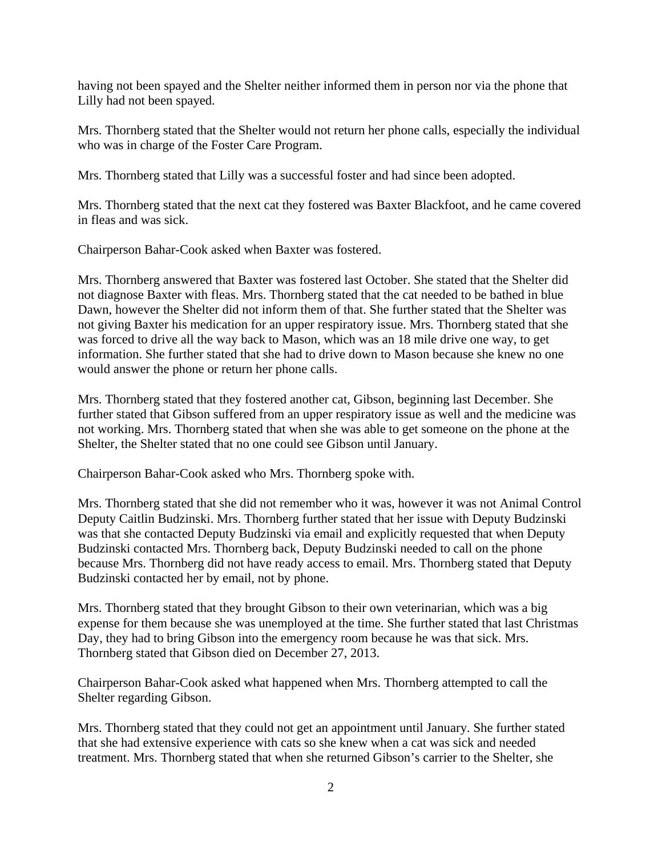having not been spayed and the Shelter neither informed them in person nor via the phone that Lilly had not been spayed.

Mrs. Thornberg stated that the Shelter would not return her phone calls, especially the individual who was in charge of the Foster Care Program.

Mrs. Thornberg stated that Lilly was a successful foster and had since been adopted.

Mrs. Thornberg stated that the next cat they fostered was Baxter Blackfoot, and he came covered in fleas and was sick.

Chairperson Bahar-Cook asked when Baxter was fostered.

Mrs. Thornberg answered that Baxter was fostered last October. She stated that the Shelter did not diagnose Baxter with fleas. Mrs. Thornberg stated that the cat needed to be bathed in blue Dawn, however the Shelter did not inform them of that. She further stated that the Shelter was not giving Baxter his medication for an upper respiratory issue. Mrs. Thornberg stated that she was forced to drive all the way back to Mason, which was an 18 mile drive one way, to get information. She further stated that she had to drive down to Mason because she knew no one would answer the phone or return her phone calls.

Mrs. Thornberg stated that they fostered another cat, Gibson, beginning last December. She further stated that Gibson suffered from an upper respiratory issue as well and the medicine was not working. Mrs. Thornberg stated that when she was able to get someone on the phone at the Shelter, the Shelter stated that no one could see Gibson until January.

Chairperson Bahar-Cook asked who Mrs. Thornberg spoke with.

Mrs. Thornberg stated that she did not remember who it was, however it was not Animal Control Deputy Caitlin Budzinski. Mrs. Thornberg further stated that her issue with Deputy Budzinski was that she contacted Deputy Budzinski via email and explicitly requested that when Deputy Budzinski contacted Mrs. Thornberg back, Deputy Budzinski needed to call on the phone because Mrs. Thornberg did not have ready access to email. Mrs. Thornberg stated that Deputy Budzinski contacted her by email, not by phone.

Mrs. Thornberg stated that they brought Gibson to their own veterinarian, which was a big expense for them because she was unemployed at the time. She further stated that last Christmas Day, they had to bring Gibson into the emergency room because he was that sick. Mrs. Thornberg stated that Gibson died on December 27, 2013.

Chairperson Bahar-Cook asked what happened when Mrs. Thornberg attempted to call the Shelter regarding Gibson.

Mrs. Thornberg stated that they could not get an appointment until January. She further stated that she had extensive experience with cats so she knew when a cat was sick and needed treatment. Mrs. Thornberg stated that when she returned Gibson's carrier to the Shelter, she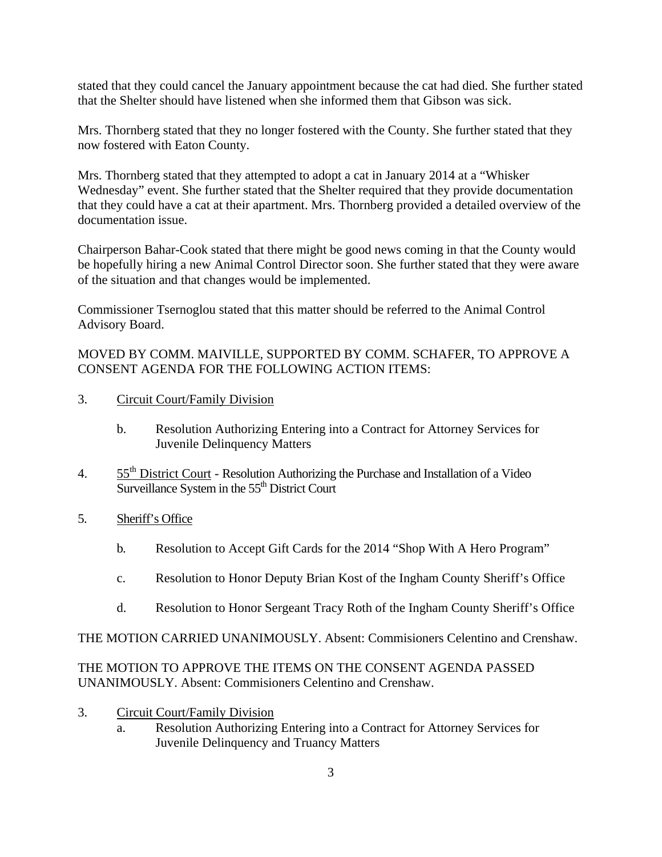stated that they could cancel the January appointment because the cat had died. She further stated that the Shelter should have listened when she informed them that Gibson was sick.

Mrs. Thornberg stated that they no longer fostered with the County. She further stated that they now fostered with Eaton County.

Mrs. Thornberg stated that they attempted to adopt a cat in January 2014 at a "Whisker Wednesday" event. She further stated that the Shelter required that they provide documentation that they could have a cat at their apartment. Mrs. Thornberg provided a detailed overview of the documentation issue.

Chairperson Bahar-Cook stated that there might be good news coming in that the County would be hopefully hiring a new Animal Control Director soon. She further stated that they were aware of the situation and that changes would be implemented.

Commissioner Tsernoglou stated that this matter should be referred to the Animal Control Advisory Board.

## MOVED BY COMM. MAIVILLE, SUPPORTED BY COMM. SCHAFER, TO APPROVE A CONSENT AGENDA FOR THE FOLLOWING ACTION ITEMS:

- 3. Circuit Court/Family Division
	- b. Resolution Authorizing Entering into a Contract for Attorney Services for Juvenile Delinquency Matters
- 4. 55<sup>th</sup> District Court Resolution Authorizing the Purchase and Installation of a Video Surveillance System in the 55<sup>th</sup> District Court
- 5. Sheriff's Office
	- b. Resolution to Accept Gift Cards for the 2014 "Shop With A Hero Program"
	- c. Resolution to Honor Deputy Brian Kost of the Ingham County Sheriff's Office
	- d. Resolution to Honor Sergeant Tracy Roth of the Ingham County Sheriff's Office

THE MOTION CARRIED UNANIMOUSLY. Absent: Commisioners Celentino and Crenshaw.

## THE MOTION TO APPROVE THE ITEMS ON THE CONSENT AGENDA PASSED UNANIMOUSLY. Absent: Commisioners Celentino and Crenshaw.

- 3. Circuit Court/Family Division
	- a. Resolution Authorizing Entering into a Contract for Attorney Services for Juvenile Delinquency and Truancy Matters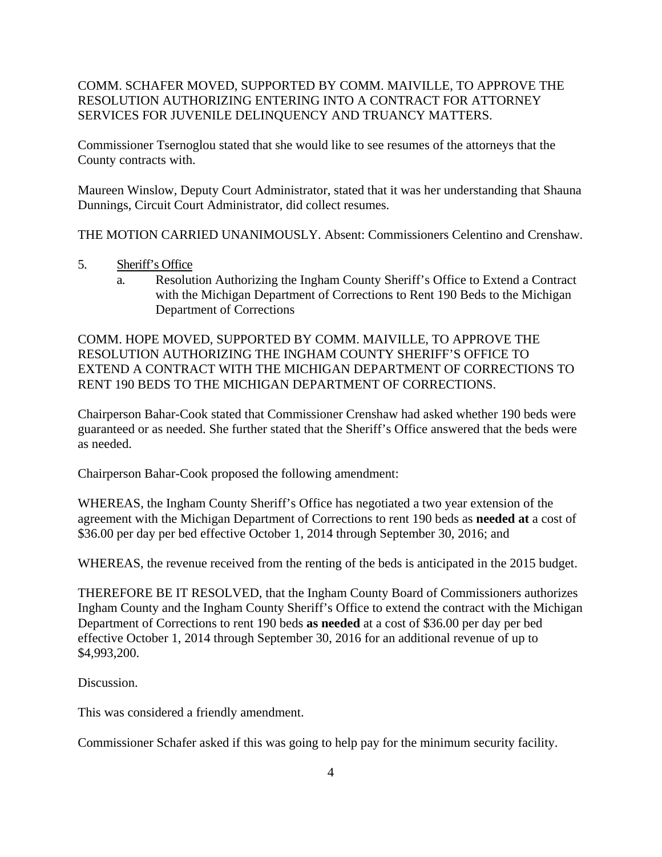## COMM. SCHAFER MOVED, SUPPORTED BY COMM. MAIVILLE, TO APPROVE THE RESOLUTION AUTHORIZING ENTERING INTO A CONTRACT FOR ATTORNEY SERVICES FOR JUVENILE DELINQUENCY AND TRUANCY MATTERS.

Commissioner Tsernoglou stated that she would like to see resumes of the attorneys that the County contracts with.

Maureen Winslow, Deputy Court Administrator, stated that it was her understanding that Shauna Dunnings, Circuit Court Administrator, did collect resumes.

THE MOTION CARRIED UNANIMOUSLY. Absent: Commissioners Celentino and Crenshaw.

- 5. Sheriff's Office
	- a. Resolution Authorizing the Ingham County Sheriff's Office to Extend a Contract with the Michigan Department of Corrections to Rent 190 Beds to the Michigan Department of Corrections

COMM. HOPE MOVED, SUPPORTED BY COMM. MAIVILLE, TO APPROVE THE RESOLUTION AUTHORIZING THE INGHAM COUNTY SHERIFF'S OFFICE TO EXTEND A CONTRACT WITH THE MICHIGAN DEPARTMENT OF CORRECTIONS TO RENT 190 BEDS TO THE MICHIGAN DEPARTMENT OF CORRECTIONS.

Chairperson Bahar-Cook stated that Commissioner Crenshaw had asked whether 190 beds were guaranteed or as needed. She further stated that the Sheriff's Office answered that the beds were as needed.

Chairperson Bahar-Cook proposed the following amendment:

WHEREAS, the Ingham County Sheriff's Office has negotiated a two year extension of the agreement with the Michigan Department of Corrections to rent 190 beds as **needed at** a cost of \$36.00 per day per bed effective October 1, 2014 through September 30, 2016; and

WHEREAS, the revenue received from the renting of the beds is anticipated in the 2015 budget.

THEREFORE BE IT RESOLVED, that the Ingham County Board of Commissioners authorizes Ingham County and the Ingham County Sheriff's Office to extend the contract with the Michigan Department of Corrections to rent 190 beds **as needed** at a cost of \$36.00 per day per bed effective October 1, 2014 through September 30, 2016 for an additional revenue of up to \$4,993,200.

Discussion.

This was considered a friendly amendment.

Commissioner Schafer asked if this was going to help pay for the minimum security facility.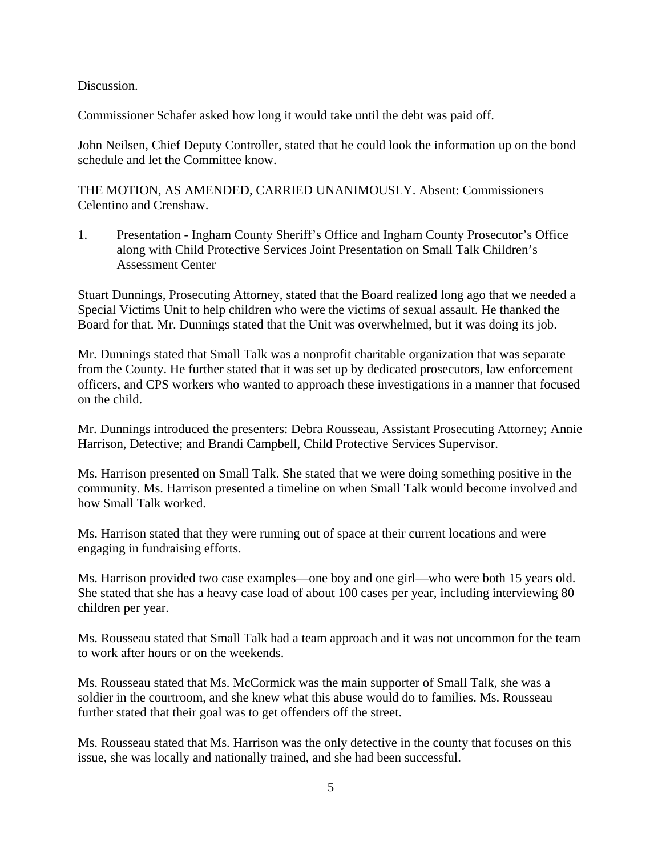Discussion.

Commissioner Schafer asked how long it would take until the debt was paid off.

John Neilsen, Chief Deputy Controller, stated that he could look the information up on the bond schedule and let the Committee know.

THE MOTION, AS AMENDED, CARRIED UNANIMOUSLY. Absent: Commissioners Celentino and Crenshaw.

1. Presentation - Ingham County Sheriff's Office and Ingham County Prosecutor's Office along with Child Protective Services Joint Presentation on Small Talk Children's Assessment Center

Stuart Dunnings, Prosecuting Attorney, stated that the Board realized long ago that we needed a Special Victims Unit to help children who were the victims of sexual assault. He thanked the Board for that. Mr. Dunnings stated that the Unit was overwhelmed, but it was doing its job.

Mr. Dunnings stated that Small Talk was a nonprofit charitable organization that was separate from the County. He further stated that it was set up by dedicated prosecutors, law enforcement officers, and CPS workers who wanted to approach these investigations in a manner that focused on the child.

Mr. Dunnings introduced the presenters: Debra Rousseau, Assistant Prosecuting Attorney; Annie Harrison, Detective; and Brandi Campbell, Child Protective Services Supervisor.

Ms. Harrison presented on Small Talk. She stated that we were doing something positive in the community. Ms. Harrison presented a timeline on when Small Talk would become involved and how Small Talk worked.

Ms. Harrison stated that they were running out of space at their current locations and were engaging in fundraising efforts.

Ms. Harrison provided two case examples—one boy and one girl—who were both 15 years old. She stated that she has a heavy case load of about 100 cases per year, including interviewing 80 children per year.

Ms. Rousseau stated that Small Talk had a team approach and it was not uncommon for the team to work after hours or on the weekends.

Ms. Rousseau stated that Ms. McCormick was the main supporter of Small Talk, she was a soldier in the courtroom, and she knew what this abuse would do to families. Ms. Rousseau further stated that their goal was to get offenders off the street.

Ms. Rousseau stated that Ms. Harrison was the only detective in the county that focuses on this issue, she was locally and nationally trained, and she had been successful.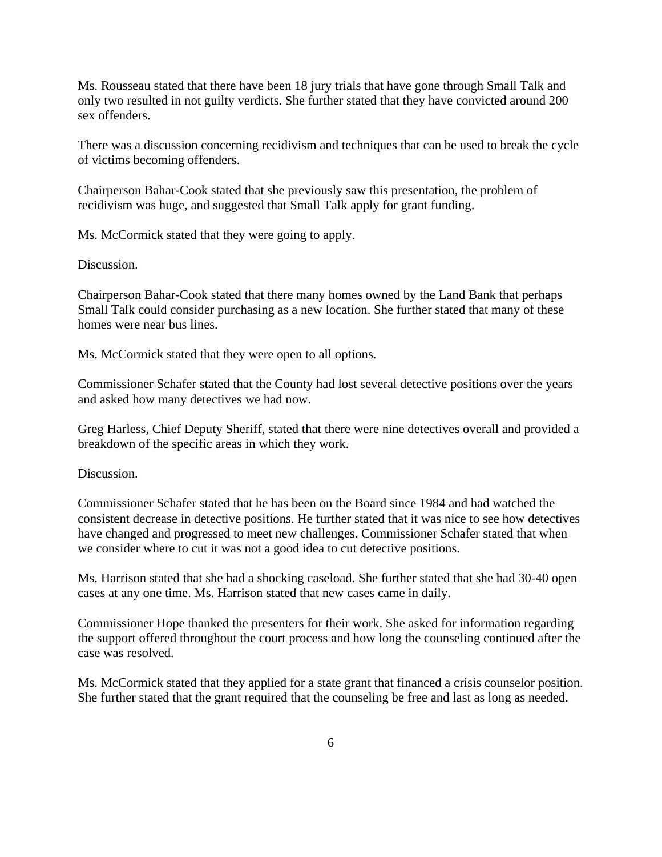Ms. Rousseau stated that there have been 18 jury trials that have gone through Small Talk and only two resulted in not guilty verdicts. She further stated that they have convicted around 200 sex offenders.

There was a discussion concerning recidivism and techniques that can be used to break the cycle of victims becoming offenders.

Chairperson Bahar-Cook stated that she previously saw this presentation, the problem of recidivism was huge, and suggested that Small Talk apply for grant funding.

Ms. McCormick stated that they were going to apply.

Discussion.

Chairperson Bahar-Cook stated that there many homes owned by the Land Bank that perhaps Small Talk could consider purchasing as a new location. She further stated that many of these homes were near bus lines.

Ms. McCormick stated that they were open to all options.

Commissioner Schafer stated that the County had lost several detective positions over the years and asked how many detectives we had now.

Greg Harless, Chief Deputy Sheriff, stated that there were nine detectives overall and provided a breakdown of the specific areas in which they work.

Discussion.

Commissioner Schafer stated that he has been on the Board since 1984 and had watched the consistent decrease in detective positions. He further stated that it was nice to see how detectives have changed and progressed to meet new challenges. Commissioner Schafer stated that when we consider where to cut it was not a good idea to cut detective positions.

Ms. Harrison stated that she had a shocking caseload. She further stated that she had 30-40 open cases at any one time. Ms. Harrison stated that new cases came in daily.

Commissioner Hope thanked the presenters for their work. She asked for information regarding the support offered throughout the court process and how long the counseling continued after the case was resolved.

Ms. McCormick stated that they applied for a state grant that financed a crisis counselor position. She further stated that the grant required that the counseling be free and last as long as needed.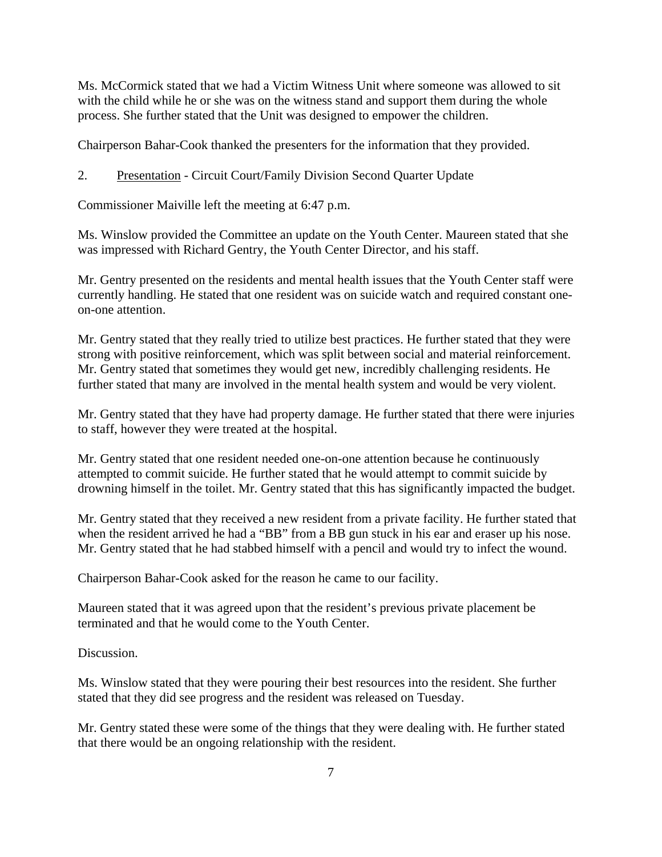Ms. McCormick stated that we had a Victim Witness Unit where someone was allowed to sit with the child while he or she was on the witness stand and support them during the whole process. She further stated that the Unit was designed to empower the children.

Chairperson Bahar-Cook thanked the presenters for the information that they provided.

2. Presentation - Circuit Court/Family Division Second Quarter Update

Commissioner Maiville left the meeting at 6:47 p.m.

Ms. Winslow provided the Committee an update on the Youth Center. Maureen stated that she was impressed with Richard Gentry, the Youth Center Director, and his staff.

Mr. Gentry presented on the residents and mental health issues that the Youth Center staff were currently handling. He stated that one resident was on suicide watch and required constant oneon-one attention.

Mr. Gentry stated that they really tried to utilize best practices. He further stated that they were strong with positive reinforcement, which was split between social and material reinforcement. Mr. Gentry stated that sometimes they would get new, incredibly challenging residents. He further stated that many are involved in the mental health system and would be very violent.

Mr. Gentry stated that they have had property damage. He further stated that there were injuries to staff, however they were treated at the hospital.

Mr. Gentry stated that one resident needed one-on-one attention because he continuously attempted to commit suicide. He further stated that he would attempt to commit suicide by drowning himself in the toilet. Mr. Gentry stated that this has significantly impacted the budget.

Mr. Gentry stated that they received a new resident from a private facility. He further stated that when the resident arrived he had a "BB" from a BB gun stuck in his ear and eraser up his nose. Mr. Gentry stated that he had stabbed himself with a pencil and would try to infect the wound.

Chairperson Bahar-Cook asked for the reason he came to our facility.

Maureen stated that it was agreed upon that the resident's previous private placement be terminated and that he would come to the Youth Center.

Discussion.

Ms. Winslow stated that they were pouring their best resources into the resident. She further stated that they did see progress and the resident was released on Tuesday.

Mr. Gentry stated these were some of the things that they were dealing with. He further stated that there would be an ongoing relationship with the resident.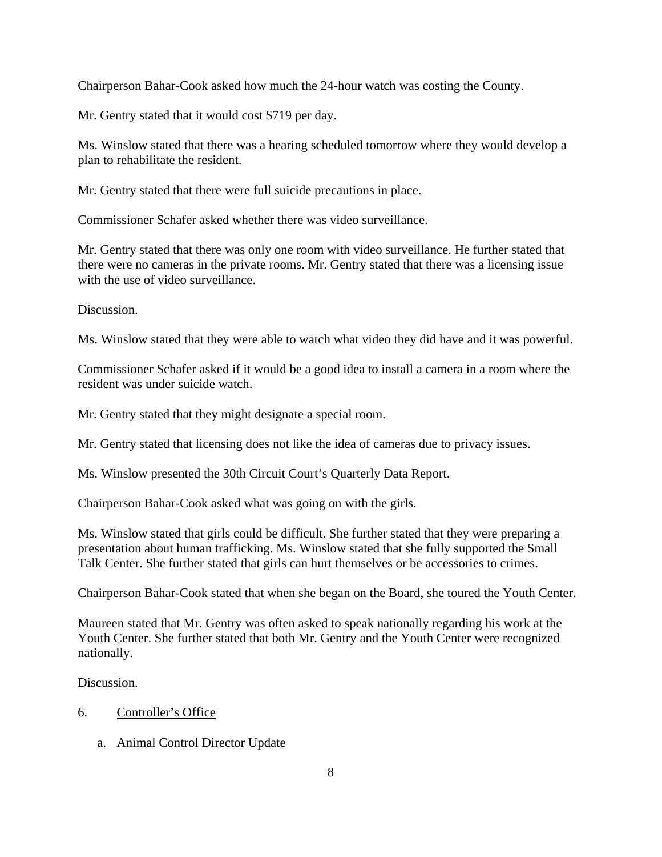Chairperson Bahar-Cook asked how much the 24-hour watch was costing the County.

Mr. Gentry stated that it would cost \$719 per day.

Ms. Winslow stated that there was a hearing scheduled tomorrow where they would develop a plan to rehabilitate the resident.

Mr. Gentry stated that there were full suicide precautions in place.

Commissioner Schafer asked whether there was video surveillance.

Mr. Gentry stated that there was only one room with video surveillance. He further stated that there were no cameras in the private rooms. Mr. Gentry stated that there was a licensing issue with the use of video surveillance.

Discussion.

Ms. Winslow stated that they were able to watch what video they did have and it was powerful.

Commissioner Schafer asked if it would be a good idea to install a camera in a room where the resident was under suicide watch.

Mr. Gentry stated that they might designate a special room.

Mr. Gentry stated that licensing does not like the idea of cameras due to privacy issues.

Ms. Winslow presented the 30th Circuit Court's Quarterly Data Report.

Chairperson Bahar-Cook asked what was going on with the girls.

Ms. Winslow stated that girls could be difficult. She further stated that they were preparing a presentation about human trafficking. Ms. Winslow stated that she fully supported the Small Talk Center. She further stated that girls can hurt themselves or be accessories to crimes.

Chairperson Bahar-Cook stated that when she began on the Board, she toured the Youth Center.

Maureen stated that Mr. Gentry was often asked to speak nationally regarding his work at the Youth Center. She further stated that both Mr. Gentry and the Youth Center were recognized nationally.

Discussion.

## 6. Controller's Office

a. Animal Control Director Update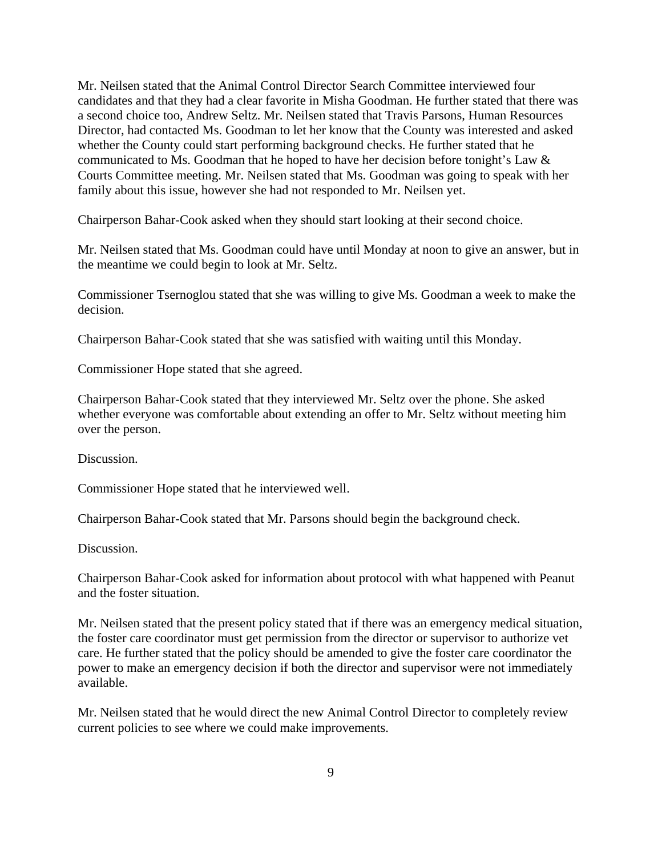Mr. Neilsen stated that the Animal Control Director Search Committee interviewed four candidates and that they had a clear favorite in Misha Goodman. He further stated that there was a second choice too, Andrew Seltz. Mr. Neilsen stated that Travis Parsons, Human Resources Director, had contacted Ms. Goodman to let her know that the County was interested and asked whether the County could start performing background checks. He further stated that he communicated to Ms. Goodman that he hoped to have her decision before tonight's Law & Courts Committee meeting. Mr. Neilsen stated that Ms. Goodman was going to speak with her family about this issue, however she had not responded to Mr. Neilsen yet.

Chairperson Bahar-Cook asked when they should start looking at their second choice.

Mr. Neilsen stated that Ms. Goodman could have until Monday at noon to give an answer, but in the meantime we could begin to look at Mr. Seltz.

Commissioner Tsernoglou stated that she was willing to give Ms. Goodman a week to make the decision.

Chairperson Bahar-Cook stated that she was satisfied with waiting until this Monday.

Commissioner Hope stated that she agreed.

Chairperson Bahar-Cook stated that they interviewed Mr. Seltz over the phone. She asked whether everyone was comfortable about extending an offer to Mr. Seltz without meeting him over the person.

Discussion.

Commissioner Hope stated that he interviewed well.

Chairperson Bahar-Cook stated that Mr. Parsons should begin the background check.

Discussion.

Chairperson Bahar-Cook asked for information about protocol with what happened with Peanut and the foster situation.

Mr. Neilsen stated that the present policy stated that if there was an emergency medical situation, the foster care coordinator must get permission from the director or supervisor to authorize vet care. He further stated that the policy should be amended to give the foster care coordinator the power to make an emergency decision if both the director and supervisor were not immediately available.

Mr. Neilsen stated that he would direct the new Animal Control Director to completely review current policies to see where we could make improvements.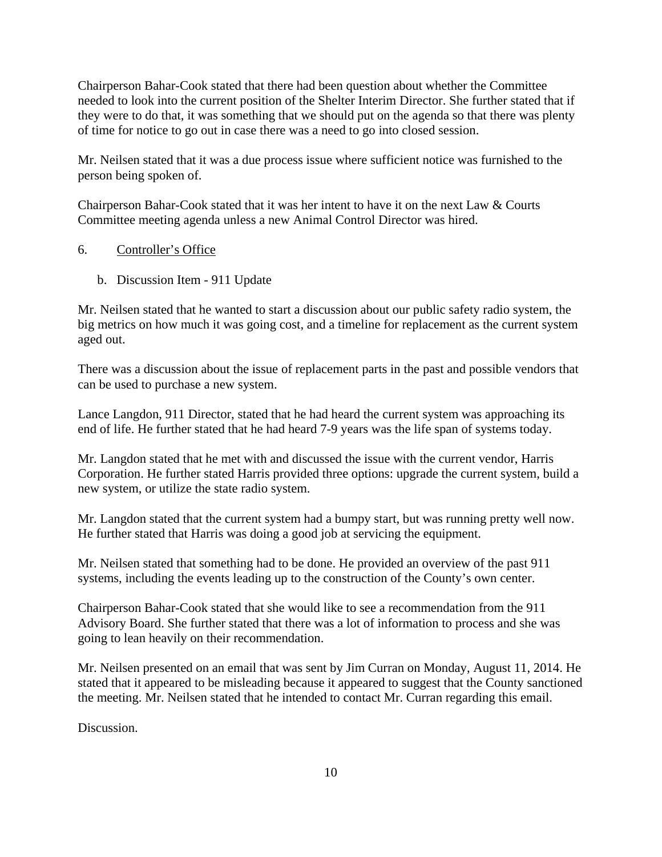Chairperson Bahar-Cook stated that there had been question about whether the Committee needed to look into the current position of the Shelter Interim Director. She further stated that if they were to do that, it was something that we should put on the agenda so that there was plenty of time for notice to go out in case there was a need to go into closed session.

Mr. Neilsen stated that it was a due process issue where sufficient notice was furnished to the person being spoken of.

Chairperson Bahar-Cook stated that it was her intent to have it on the next Law & Courts Committee meeting agenda unless a new Animal Control Director was hired.

#### 6. Controller's Office

b. Discussion Item - 911 Update

Mr. Neilsen stated that he wanted to start a discussion about our public safety radio system, the big metrics on how much it was going cost, and a timeline for replacement as the current system aged out.

There was a discussion about the issue of replacement parts in the past and possible vendors that can be used to purchase a new system.

Lance Langdon, 911 Director, stated that he had heard the current system was approaching its end of life. He further stated that he had heard 7-9 years was the life span of systems today.

Mr. Langdon stated that he met with and discussed the issue with the current vendor, Harris Corporation. He further stated Harris provided three options: upgrade the current system, build a new system, or utilize the state radio system.

Mr. Langdon stated that the current system had a bumpy start, but was running pretty well now. He further stated that Harris was doing a good job at servicing the equipment.

Mr. Neilsen stated that something had to be done. He provided an overview of the past 911 systems, including the events leading up to the construction of the County's own center.

Chairperson Bahar-Cook stated that she would like to see a recommendation from the 911 Advisory Board. She further stated that there was a lot of information to process and she was going to lean heavily on their recommendation.

Mr. Neilsen presented on an email that was sent by Jim Curran on Monday, August 11, 2014. He stated that it appeared to be misleading because it appeared to suggest that the County sanctioned the meeting. Mr. Neilsen stated that he intended to contact Mr. Curran regarding this email.

Discussion.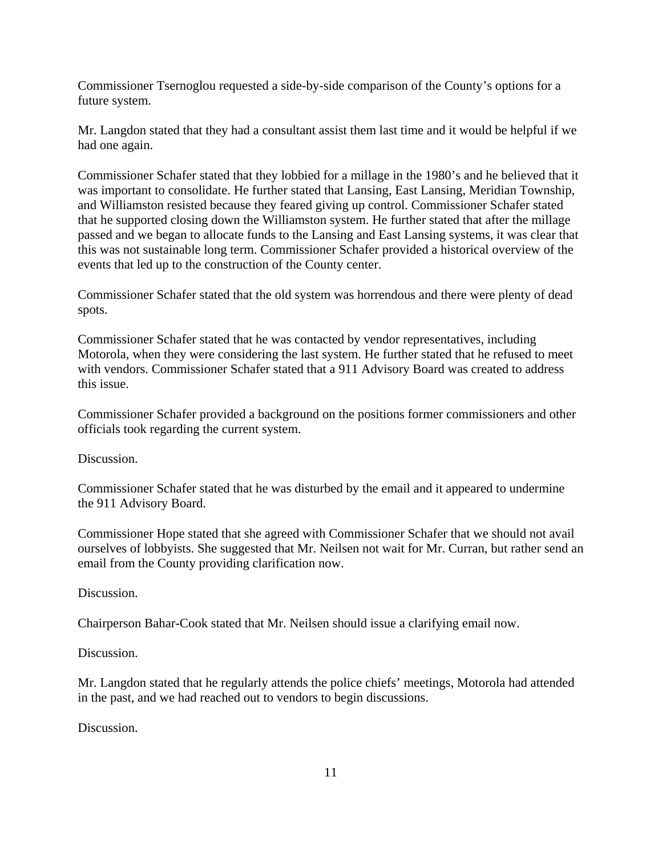Commissioner Tsernoglou requested a side-by-side comparison of the County's options for a future system.

Mr. Langdon stated that they had a consultant assist them last time and it would be helpful if we had one again.

Commissioner Schafer stated that they lobbied for a millage in the 1980's and he believed that it was important to consolidate. He further stated that Lansing, East Lansing, Meridian Township, and Williamston resisted because they feared giving up control. Commissioner Schafer stated that he supported closing down the Williamston system. He further stated that after the millage passed and we began to allocate funds to the Lansing and East Lansing systems, it was clear that this was not sustainable long term. Commissioner Schafer provided a historical overview of the events that led up to the construction of the County center.

Commissioner Schafer stated that the old system was horrendous and there were plenty of dead spots.

Commissioner Schafer stated that he was contacted by vendor representatives, including Motorola, when they were considering the last system. He further stated that he refused to meet with vendors. Commissioner Schafer stated that a 911 Advisory Board was created to address this issue.

Commissioner Schafer provided a background on the positions former commissioners and other officials took regarding the current system.

Discussion.

Commissioner Schafer stated that he was disturbed by the email and it appeared to undermine the 911 Advisory Board.

Commissioner Hope stated that she agreed with Commissioner Schafer that we should not avail ourselves of lobbyists. She suggested that Mr. Neilsen not wait for Mr. Curran, but rather send an email from the County providing clarification now.

Discussion.

Chairperson Bahar-Cook stated that Mr. Neilsen should issue a clarifying email now.

Discussion.

Mr. Langdon stated that he regularly attends the police chiefs' meetings, Motorola had attended in the past, and we had reached out to vendors to begin discussions.

Discussion.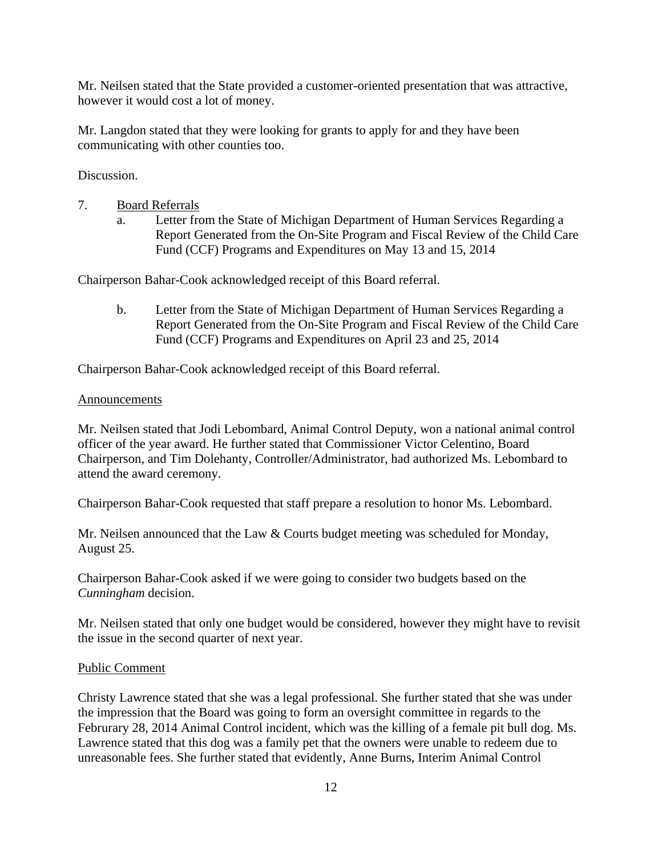Mr. Neilsen stated that the State provided a customer-oriented presentation that was attractive, however it would cost a lot of money.

Mr. Langdon stated that they were looking for grants to apply for and they have been communicating with other counties too.

Discussion.

- 7. Board Referrals
	- a. Letter from the State of Michigan Department of Human Services Regarding a Report Generated from the On-Site Program and Fiscal Review of the Child Care Fund (CCF) Programs and Expenditures on May 13 and 15, 2014

Chairperson Bahar-Cook acknowledged receipt of this Board referral.

b. Letter from the State of Michigan Department of Human Services Regarding a Report Generated from the On-Site Program and Fiscal Review of the Child Care Fund (CCF) Programs and Expenditures on April 23 and 25, 2014

Chairperson Bahar-Cook acknowledged receipt of this Board referral.

## Announcements

Mr. Neilsen stated that Jodi Lebombard, Animal Control Deputy, won a national animal control officer of the year award. He further stated that Commissioner Victor Celentino, Board Chairperson, and Tim Dolehanty, Controller/Administrator, had authorized Ms. Lebombard to attend the award ceremony.

Chairperson Bahar-Cook requested that staff prepare a resolution to honor Ms. Lebombard.

Mr. Neilsen announced that the Law & Courts budget meeting was scheduled for Monday, August 25.

Chairperson Bahar-Cook asked if we were going to consider two budgets based on the *Cunningham* decision.

Mr. Neilsen stated that only one budget would be considered, however they might have to revisit the issue in the second quarter of next year.

## Public Comment

Christy Lawrence stated that she was a legal professional. She further stated that she was under the impression that the Board was going to form an oversight committee in regards to the Februrary 28, 2014 Animal Control incident, which was the killing of a female pit bull dog. Ms. Lawrence stated that this dog was a family pet that the owners were unable to redeem due to unreasonable fees. She further stated that evidently, Anne Burns, Interim Animal Control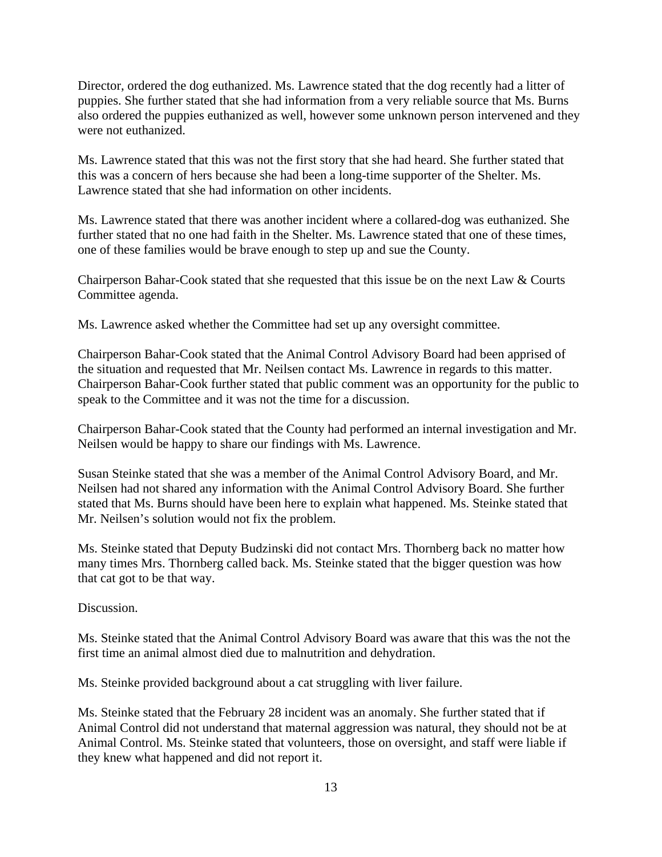Director, ordered the dog euthanized. Ms. Lawrence stated that the dog recently had a litter of puppies. She further stated that she had information from a very reliable source that Ms. Burns also ordered the puppies euthanized as well, however some unknown person intervened and they were not euthanized.

Ms. Lawrence stated that this was not the first story that she had heard. She further stated that this was a concern of hers because she had been a long-time supporter of the Shelter. Ms. Lawrence stated that she had information on other incidents.

Ms. Lawrence stated that there was another incident where a collared-dog was euthanized. She further stated that no one had faith in the Shelter. Ms. Lawrence stated that one of these times, one of these families would be brave enough to step up and sue the County.

Chairperson Bahar-Cook stated that she requested that this issue be on the next Law & Courts Committee agenda.

Ms. Lawrence asked whether the Committee had set up any oversight committee.

Chairperson Bahar-Cook stated that the Animal Control Advisory Board had been apprised of the situation and requested that Mr. Neilsen contact Ms. Lawrence in regards to this matter. Chairperson Bahar-Cook further stated that public comment was an opportunity for the public to speak to the Committee and it was not the time for a discussion.

Chairperson Bahar-Cook stated that the County had performed an internal investigation and Mr. Neilsen would be happy to share our findings with Ms. Lawrence.

Susan Steinke stated that she was a member of the Animal Control Advisory Board, and Mr. Neilsen had not shared any information with the Animal Control Advisory Board. She further stated that Ms. Burns should have been here to explain what happened. Ms. Steinke stated that Mr. Neilsen's solution would not fix the problem.

Ms. Steinke stated that Deputy Budzinski did not contact Mrs. Thornberg back no matter how many times Mrs. Thornberg called back. Ms. Steinke stated that the bigger question was how that cat got to be that way.

Discussion.

Ms. Steinke stated that the Animal Control Advisory Board was aware that this was the not the first time an animal almost died due to malnutrition and dehydration.

Ms. Steinke provided background about a cat struggling with liver failure.

Ms. Steinke stated that the February 28 incident was an anomaly. She further stated that if Animal Control did not understand that maternal aggression was natural, they should not be at Animal Control. Ms. Steinke stated that volunteers, those on oversight, and staff were liable if they knew what happened and did not report it.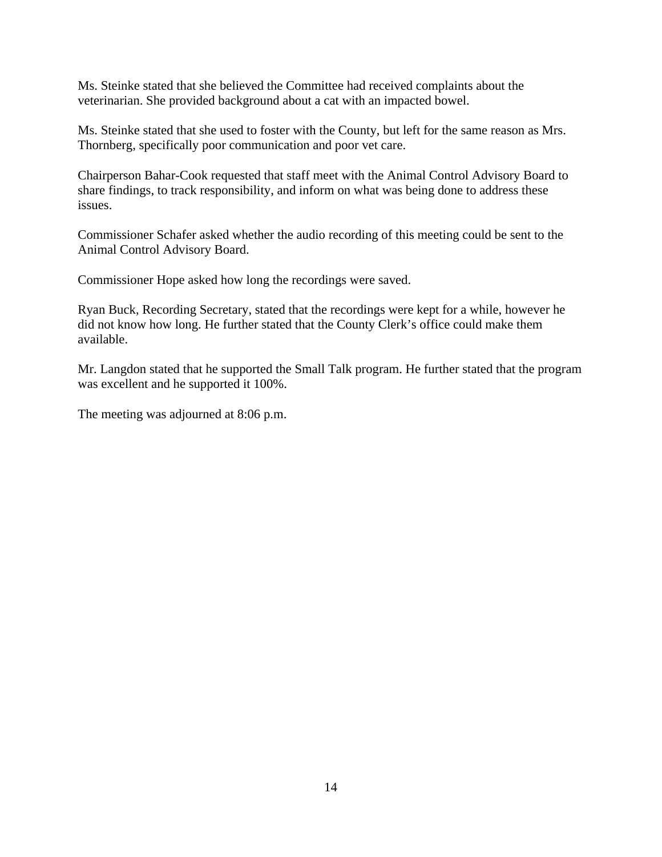Ms. Steinke stated that she believed the Committee had received complaints about the veterinarian. She provided background about a cat with an impacted bowel.

Ms. Steinke stated that she used to foster with the County, but left for the same reason as Mrs. Thornberg, specifically poor communication and poor vet care.

Chairperson Bahar-Cook requested that staff meet with the Animal Control Advisory Board to share findings, to track responsibility, and inform on what was being done to address these issues.

Commissioner Schafer asked whether the audio recording of this meeting could be sent to the Animal Control Advisory Board.

Commissioner Hope asked how long the recordings were saved.

Ryan Buck, Recording Secretary, stated that the recordings were kept for a while, however he did not know how long. He further stated that the County Clerk's office could make them available.

Mr. Langdon stated that he supported the Small Talk program. He further stated that the program was excellent and he supported it 100%.

The meeting was adjourned at 8:06 p.m.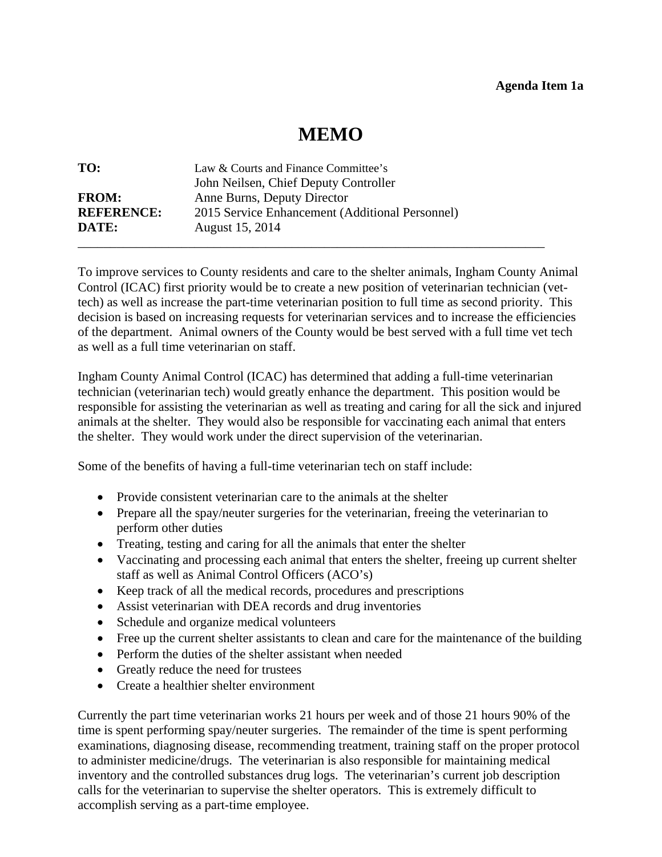# **MEMO**

<span id="page-15-0"></span>

| TO:               | Law & Courts and Finance Committee's            |
|-------------------|-------------------------------------------------|
|                   | John Neilsen, Chief Deputy Controller           |
| <b>FROM:</b>      | Anne Burns, Deputy Director                     |
| <b>REFERENCE:</b> | 2015 Service Enhancement (Additional Personnel) |
| DATE:             | August 15, 2014                                 |
|                   |                                                 |

To improve services to County residents and care to the shelter animals, Ingham County Animal Control (ICAC) first priority would be to create a new position of veterinarian technician (vettech) as well as increase the part-time veterinarian position to full time as second priority. This decision is based on increasing requests for veterinarian services and to increase the efficiencies of the department. Animal owners of the County would be best served with a full time vet tech as well as a full time veterinarian on staff.

Ingham County Animal Control (ICAC) has determined that adding a full-time veterinarian technician (veterinarian tech) would greatly enhance the department. This position would be responsible for assisting the veterinarian as well as treating and caring for all the sick and injured animals at the shelter. They would also be responsible for vaccinating each animal that enters the shelter. They would work under the direct supervision of the veterinarian.

Some of the benefits of having a full-time veterinarian tech on staff include:

- Provide consistent veterinarian care to the animals at the shelter
- Prepare all the spay/neuter surgeries for the veterinarian, freeing the veterinarian to perform other duties
- Treating, testing and caring for all the animals that enter the shelter
- Vaccinating and processing each animal that enters the shelter, freeing up current shelter staff as well as Animal Control Officers (ACO's)
- Keep track of all the medical records, procedures and prescriptions
- Assist veterinarian with DEA records and drug inventories
- Schedule and organize medical volunteers
- Free up the current shelter assistants to clean and care for the maintenance of the building
- Perform the duties of the shelter assistant when needed
- Greatly reduce the need for trustees
- Create a healthier shelter environment

Currently the part time veterinarian works 21 hours per week and of those 21 hours 90% of the time is spent performing spay/neuter surgeries. The remainder of the time is spent performing examinations, diagnosing disease, recommending treatment, training staff on the proper protocol to administer medicine/drugs. The veterinarian is also responsible for maintaining medical inventory and the controlled substances drug logs. The veterinarian's current job description calls for the veterinarian to supervise the shelter operators. This is extremely difficult to accomplish serving as a part-time employee.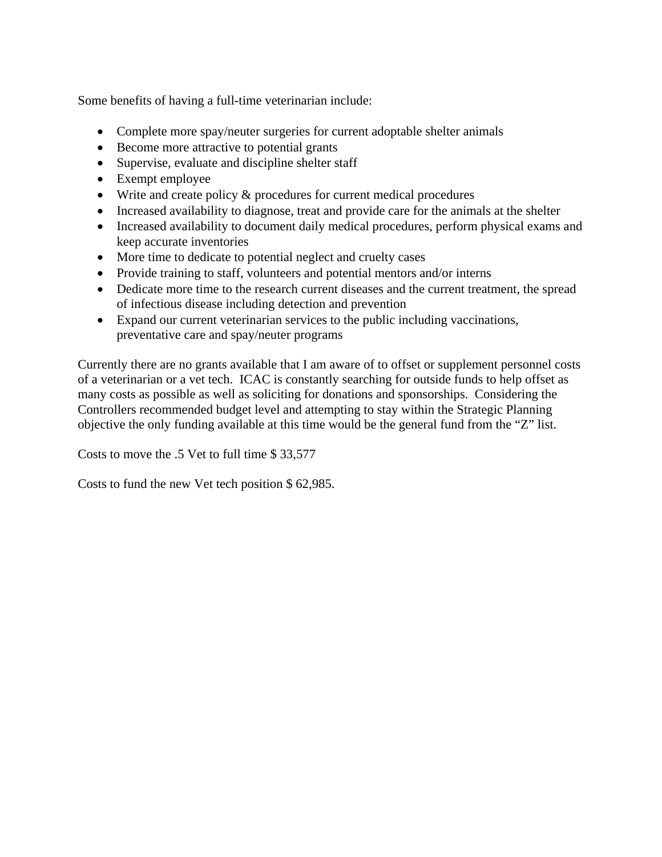Some benefits of having a full-time veterinarian include:

- Complete more spay/neuter surgeries for current adoptable shelter animals
- Become more attractive to potential grants
- Supervise, evaluate and discipline shelter staff
- Exempt employee
- Write and create policy & procedures for current medical procedures
- Increased availability to diagnose, treat and provide care for the animals at the shelter
- Increased availability to document daily medical procedures, perform physical exams and keep accurate inventories
- More time to dedicate to potential neglect and cruelty cases
- Provide training to staff, volunteers and potential mentors and/or interns
- Dedicate more time to the research current diseases and the current treatment, the spread of infectious disease including detection and prevention
- Expand our current veterinarian services to the public including vaccinations, preventative care and spay/neuter programs

Currently there are no grants available that I am aware of to offset or supplement personnel costs of a veterinarian or a vet tech. ICAC is constantly searching for outside funds to help offset as many costs as possible as well as soliciting for donations and sponsorships. Considering the Controllers recommended budget level and attempting to stay within the Strategic Planning objective the only funding available at this time would be the general fund from the "Z" list.

Costs to move the .5 Vet to full time \$ 33,577

Costs to fund the new Vet tech position \$ 62,985.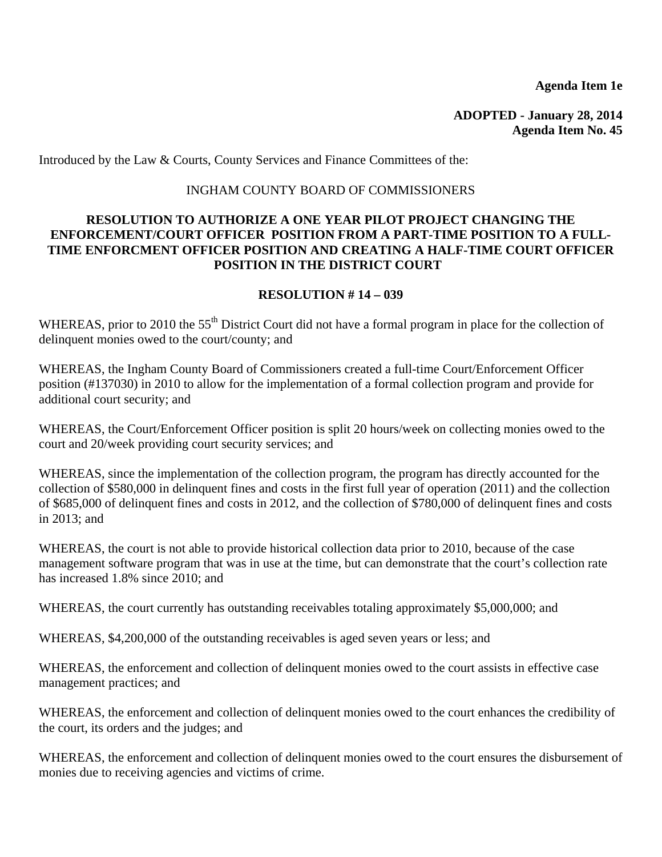**Agenda Item 1e** 

**ADOPTED - January 28, 2014 Agenda Item No. 45** 

<span id="page-17-0"></span>Introduced by the Law & Courts, County Services and Finance Committees of the:

## INGHAM COUNTY BOARD OF COMMISSIONERS

## **RESOLUTION TO AUTHORIZE A ONE YEAR PILOT PROJECT CHANGING THE ENFORCEMENT/COURT OFFICER POSITION FROM A PART-TIME POSITION TO A FULL-TIME ENFORCMENT OFFICER POSITION AND CREATING A HALF-TIME COURT OFFICER POSITION IN THE DISTRICT COURT**

#### **RESOLUTION # 14 – 039**

WHEREAS, prior to 2010 the 55<sup>th</sup> District Court did not have a formal program in place for the collection of delinquent monies owed to the court/county; and

WHEREAS, the Ingham County Board of Commissioners created a full-time Court/Enforcement Officer position (#137030) in 2010 to allow for the implementation of a formal collection program and provide for additional court security; and

WHEREAS, the Court/Enforcement Officer position is split 20 hours/week on collecting monies owed to the court and 20/week providing court security services; and

WHEREAS, since the implementation of the collection program, the program has directly accounted for the collection of \$580,000 in delinquent fines and costs in the first full year of operation (2011) and the collection of \$685,000 of delinquent fines and costs in 2012, and the collection of \$780,000 of delinquent fines and costs in 2013; and

WHEREAS, the court is not able to provide historical collection data prior to 2010, because of the case management software program that was in use at the time, but can demonstrate that the court's collection rate has increased 1.8% since 2010; and

WHEREAS, the court currently has outstanding receivables totaling approximately \$5,000,000; and

WHEREAS, \$4,200,000 of the outstanding receivables is aged seven years or less; and

WHEREAS, the enforcement and collection of delinquent monies owed to the court assists in effective case management practices; and

WHEREAS, the enforcement and collection of delinquent monies owed to the court enhances the credibility of the court, its orders and the judges; and

WHEREAS, the enforcement and collection of delinquent monies owed to the court ensures the disbursement of monies due to receiving agencies and victims of crime.